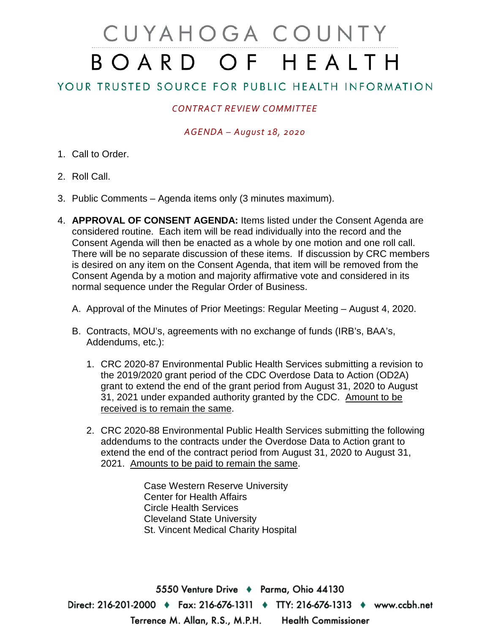# CUYAHOGA COUNTY BOARD OF HEALTH

## YOUR TRUSTED SOURCE FOR PUBLIC HEALTH INFORMATION

### *CONTRACT REVIEW COMMITTEE*

#### *AGENDA – August 18, 2020*

- 1. Call to Order.
- 2. Roll Call.
- 3. Public Comments Agenda items only (3 minutes maximum).
- 4. **APPROVAL OF CONSENT AGENDA:** Items listed under the Consent Agenda are considered routine. Each item will be read individually into the record and the Consent Agenda will then be enacted as a whole by one motion and one roll call. There will be no separate discussion of these items. If discussion by CRC members is desired on any item on the Consent Agenda, that item will be removed from the Consent Agenda by a motion and majority affirmative vote and considered in its normal sequence under the Regular Order of Business.
	- A. Approval of the Minutes of Prior Meetings: Regular Meeting August 4, 2020.
	- B. Contracts, MOU's, agreements with no exchange of funds (IRB's, BAA's, Addendums, etc.):
		- 1. CRC 2020-87 Environmental Public Health Services submitting a revision to the 2019/2020 grant period of the CDC Overdose Data to Action (OD2A) grant to extend the end of the grant period from August 31, 2020 to August 31, 2021 under expanded authority granted by the CDC. Amount to be received is to remain the same.
		- 2. CRC 2020-88 Environmental Public Health Services submitting the following addendums to the contracts under the Overdose Data to Action grant to extend the end of the contract period from August 31, 2020 to August 31, 2021. Amounts to be paid to remain the same.

Case Western Reserve University Center for Health Affairs Circle Health Services Cleveland State University St. Vincent Medical Charity Hospital

5550 Venture Drive + Parma, Ohio 44130 Direct: 216-201-2000 ♦ Fax: 216-676-1311 ♦ TTY: 216-676-1313 ♦ www.ccbh.net Terrence M. Allan, R.S., M.P.H. **Health Commissioner**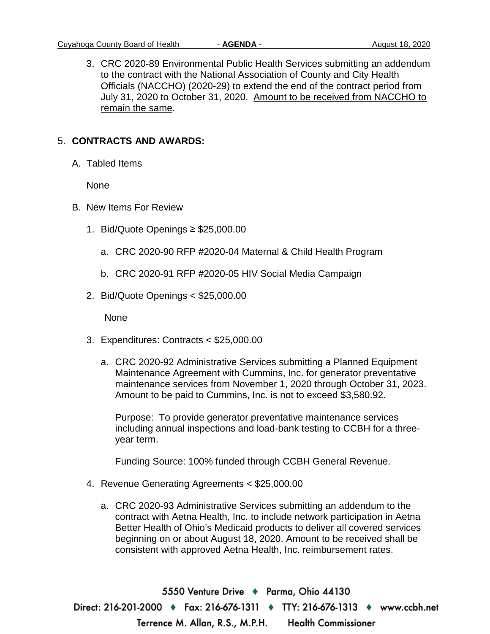3. CRC 2020-89 Environmental Public Health Services submitting an addendum to the contract with the National Association of County and City Health Officials (NACCHO) (2020-29) to extend the end of the contract period from July 31, 2020 to October 31, 2020. Amount to be received from NACCHO to remain the same.

#### 5. **CONTRACTS AND AWARDS:**

A. Tabled Items

None

- B. New Items For Review
	- 1. Bid/Quote Openings ≥ \$25,000.00
		- a. CRC 2020-90 RFP #2020-04 Maternal & Child Health Program
		- b. CRC 2020-91 RFP #2020-05 HIV Social Media Campaign
	- 2. Bid/Quote Openings < \$25,000.00

None

- 3. Expenditures: Contracts < \$25,000.00
	- a. CRC 2020-92 Administrative Services submitting a Planned Equipment Maintenance Agreement with Cummins, Inc. for generator preventative maintenance services from November 1, 2020 through October 31, 2023. Amount to be paid to Cummins, Inc. is not to exceed \$3,580.92.

Purpose: To provide generator preventative maintenance services including annual inspections and load-bank testing to CCBH for a threeyear term.

Funding Source: 100% funded through CCBH General Revenue.

- 4. Revenue Generating Agreements < \$25,000.00
	- a. CRC 2020-93 Administrative Services submitting an addendum to the contract with Aetna Health, Inc. to include network participation in Aetna Better Health of Ohio's Medicaid products to deliver all covered services beginning on or about August 18, 2020. Amount to be received shall be consistent with approved Aetna Health, Inc. reimbursement rates.

5550 Venture Drive → Parma, Ohio 44130 Direct: 216-201-2000 • Fax: 216-676-1311 • TTY: 216-676-1313 • www.ccbh.net Terrence M. Allan, R.S., M.P.H. **Health Commissioner**